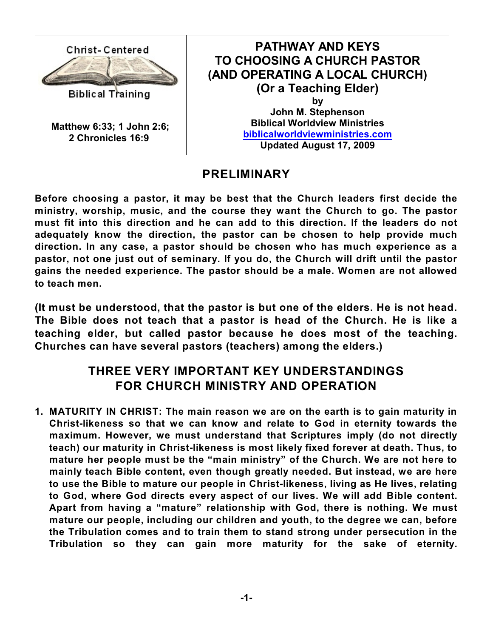

### **PRELIMINARY**

**Before choosing a pastor, it may be best that the Church leaders first decide the ministry, worship, music, and the course they want the Church to go. The pastor must fit into this direction and he can add to this direction. If the leaders do not adequately know the direction, the pastor can be chosen to help provide much direction. In any case, a pastor should be chosen who has much experience as a pastor, not one just out of seminary. If you do, the Church will drift until the pastor gains the needed experience. The pastor should be a male. Women are not allowed to teach men.**

**(It must be understood, that the pastor is but one of the elders. He is not head. The Bible does not teach that a pastor is head of the Church. He is like a teaching elder, but called pastor because he does most of the teaching. Churches can have several pastors (teachers) among the elders.)**

# **THREE VERY IMPORTANT KEY UNDERSTANDINGS FOR CHURCH MINISTRY AND OPERATION**

**1. MATURITY IN CHRIST: The main reason we are on the earth is to gain maturity in Christ-likeness so that we can know and relate to God in eternity towards the maximum. However, we must understand that Scriptures imply (do not directly teach) our maturity in Christ-likeness is most likely fixed forever at death. Thus, to mature her people must be the "main ministry" of the Church. We are not here to mainly teach Bible content, even though greatly needed. But instead, we are here to use the Bible to mature our people in Christ-likeness, living as He lives, relating to God, where God directs every aspect of our lives. We will add Bible content. Apart from having a "mature" relationship with God, there is nothing. We must mature our people, including our children and youth, to the degree we can, before the Tribulation comes and to train them to stand strong under persecution in the Tribulation so they can gain more maturity for the sake of eternity.**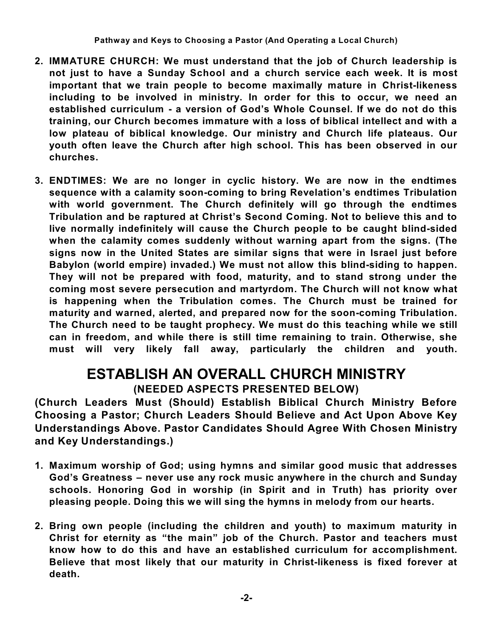- **2. IMMATURE CHURCH: We must understand that the job of Church leadership is not just to have a Sunday School and a church service each week. It is most important that we train people to become maximally mature in Christ-likeness including to be involved in ministry. In order for this to occur, we need an established curriculum - a version of God's Whole Counsel. If we do not do this training, our Church becomes immature with a loss of biblical intellect and with a low plateau of biblical knowledge. Our ministry and Church life plateaus. Our youth often leave the Church after high school. This has been observed in our churches.**
- **3. ENDTIMES: We are no longer in cyclic history. We are now in the endtimes sequence with a calamity soon-coming to bring Revelation's endtimes Tribulation with world government. The Church definitely will go through the endtimes Tribulation and be raptured at Christ's Second Coming. Not to believe this and to live normally indefinitely will cause the Church people to be caught blind-sided when the calamity comes suddenly without warning apart from the signs. (The signs now in the United States are similar signs that were in Israel just before Babylon (world empire) invaded.) We must not allow this blind-siding to happen. They will not be prepared with food, maturity, and to stand strong under the coming most severe persecution and martyrdom. The Church will not know what is happening when the Tribulation comes. The Church must be trained for maturity and warned, alerted, and prepared now for the soon-coming Tribulation. The Church need to be taught prophecy. We must do this teaching while we still can in freedom, and while there is still time remaining to train. Otherwise, she must will very likely fall away, particularly the children and youth.**

# **ESTABLISH AN OVERALL CHURCH MINISTRY (NEEDED ASPECTS PRESENTED BELOW)**

**(Church Leaders Must (Should) Establish Biblical Church Ministry Before Choosing a Pastor; Church Leaders Should Believe and Act Upon Above Key Understandings Above. Pastor Candidates Should Agree With Chosen Ministry and Key Understandings.)**

- **1. Maximum worship of God; using hymns and similar good music that addresses God's Greatness – never use any rock music anywhere in the church and Sunday schools. Honoring God in worship (in Spirit and in Truth) has priority over pleasing people. Doing this we will sing the hymns in melody from our hearts.**
- **2. Bring own people (including the children and youth) to maximum maturity in Christ for eternity as "the main" job of the Church. Pastor and teachers must know how to do this and have an established curriculum for accomplishment. Believe that most likely that our maturity in Christ-likeness is fixed forever at death.**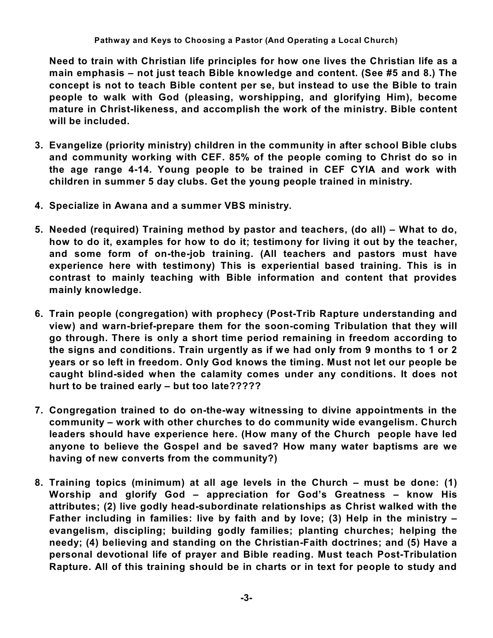**Need to train with Christian life principles for how one lives the Christian life as a main emphasis – not just teach Bible knowledge and content. (See #5 and 8.) The concept is not to teach Bible content per se, but instead to use the Bible to train people to walk with God (pleasing, worshipping, and glorifying Him), become mature in Christ-likeness, and accomplish the work of the ministry. Bible content will be included.**

- **3. Evangelize (priority ministry) children in the community in after school Bible clubs and community working with CEF. 85% of the people coming to Christ do so in the age range 4-14. Young people to be trained in CEF CYIA and work with children in summer 5 day clubs. Get the young people trained in ministry.**
- **4. Specialize in Awana and a summer VBS ministry.**
- **5. Needed (required) Training method by pastor and teachers, (do all) – What to do, how to do it, examples for how to do it; testimony for living it out by the teacher, and some form of on-the-job training. (All teachers and pastors must have experience here with testimony) This is experiential based training. This is in contrast to mainly teaching with Bible information and content that provides mainly knowledge.**
- **6. Train people (congregation) with prophecy (Post-Trib Rapture understanding and view) and warn-brief-prepare them for the soon-coming Tribulation that they will go through. There is only a short time period remaining in freedom according to the signs and conditions. Train urgently as if we had only from 9 months to 1 or 2 years or so left in freedom. Only God knows the timing. Must not let our people be caught blind-sided when the calamity comes under any conditions. It does not hurt to be trained early – but too late?????**
- **7. Congregation trained to do on-the-way witnessing to divine appointments in the community – work with other churches to do community wide evangelism. Church leaders should have experience here. (How many of the Church people have led anyone to believe the Gospel and be saved? How many water baptisms are we having of new converts from the community?)**
- **8. Training topics (minimum) at all age levels in the Church – must be done: (1) Worship and glorify God – appreciation for God's Greatness – know His attributes; (2) live godly head-subordinate relationships as Christ walked with the Father including in families: live by faith and by love; (3) Help in the ministry – evangelism, discipling; building godly families; planting churches; helping the needy; (4) believing and standing on the Christian-Faith doctrines; and (5) Have a personal devotional life of prayer and Bible reading. Must teach Post-Tribulation Rapture. All of this training should be in charts or in text for people to study and**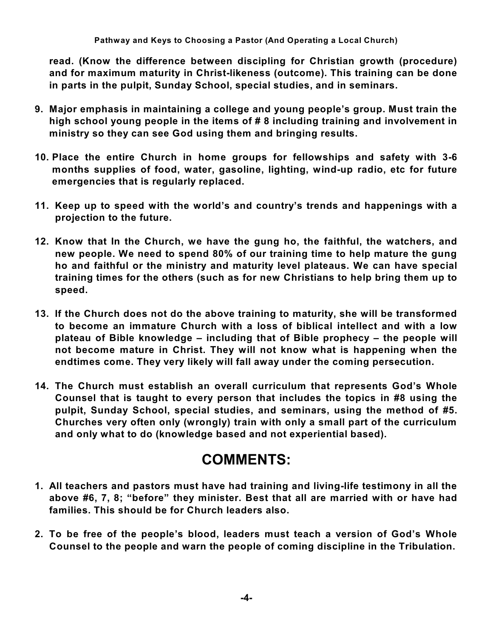**read. (Know the difference between discipling for Christian growth (procedure) and for maximum maturity in Christ-likeness (outcome). This training can be done in parts in the pulpit, Sunday School, special studies, and in seminars.**

- **9. Major emphasis in maintaining a college and young people's group. Must train the high school young people in the items of # 8 including training and involvement in ministry so they can see God using them and bringing results.**
- **10. Place the entire Church in home groups for fellowships and safety with 3-6 months supplies of food, water, gasoline, lighting, wind-up radio, etc for future emergencies that is regularly replaced.**
- **11. Keep up to speed with the world's and country's trends and happenings with a projection to the future.**
- **12. Know that In the Church, we have the gung ho, the faithful, the watchers, and new people. We need to spend 80% of our training time to help mature the gung ho and faithful or the ministry and maturity level plateaus. We can have special training times for the others (such as for new Christians to help bring them up to speed.**
- **13. If the Church does not do the above training to maturity, she will be transformed to become an immature Church with a loss of biblical intellect and with a low plateau of Bible knowledge – including that of Bible prophecy – the people will not become mature in Christ. They will not know what is happening when the endtimes come. They very likely will fall away under the coming persecution.**
- **14. The Church must establish an overall curriculum that represents God's Whole Counsel that is taught to every person that includes the topics in #8 using the pulpit, Sunday School, special studies, and seminars, using the method of #5. Churches very often only (wrongly) train with only a small part of the curriculum and only what to do (knowledge based and not experiential based).**

# **COMMENTS:**

- **1. All teachers and pastors must have had training and living-life testimony in all the above #6, 7, 8; "before" they minister. Best that all are married with or have had families. This should be for Church leaders also.**
- **2. To be free of the people's blood, leaders must teach a version of God's Whole Counsel to the people and warn the people of coming discipline in the Tribulation.**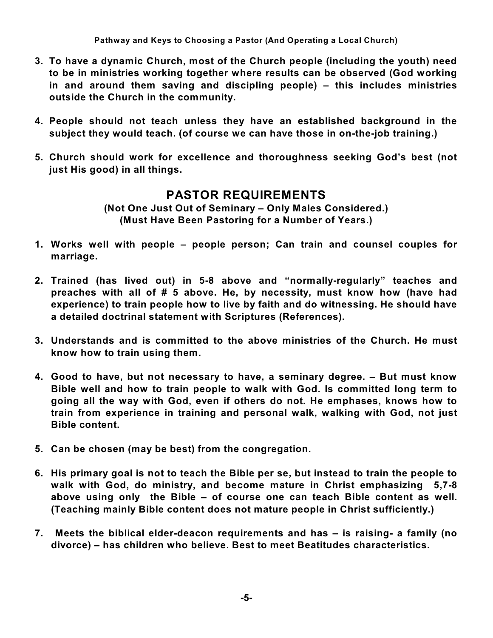**Pathway and Keys to Choosing a Pastor (And Operating a Local Church)**

- **3. To have a dynamic Church, most of the Church people (including the youth) need to be in ministries working together where results can be observed (God working in and around them saving and discipling people) – this includes ministries outside the Church in the community.**
- **4. People should not teach unless they have an established background in the subject they would teach. (of course we can have those in on-the-job training.)**
- **5. Church should work for excellence and thoroughness seeking God's best (not just His good) in all things.**

## **PASTOR REQUIREMENTS**

**(Not One Just Out of Seminary – Only Males Considered.) (Must Have Been Pastoring for a Number of Years.)**

- **1. Works well with people – people person; Can train and counsel couples for marriage.**
- **2. Trained (has lived out) in 5-8 above and "normally-regularly" teaches and preaches with all of # 5 above. He, by necessity, must know how (have had experience) to train people how to live by faith and do witnessing. He should have a detailed doctrinal statement with Scriptures (References).**
- **3. Understands and is committed to the above ministries of the Church. He must know how to train using them.**
- **4. Good to have, but not necessary to have, a seminary degree. – But must know Bible well and how to train people to walk with God. Is committed long term to going all the way with God, even if others do not. He emphases, knows how to train from experience in training and personal walk, walking with God, not just Bible content.**
- **5. Can be chosen (may be best) from the congregation.**
- **6. His primary goal is not to teach the Bible per se, but instead to train the people to walk with God, do ministry, and become mature in Christ emphasizing 5,7-8 above using only the Bible – of course one can teach Bible content as well. (Teaching mainly Bible content does not mature people in Christ sufficiently.)**
- **7. Meets the biblical elder-deacon requirements and has – is raising- a family (no divorce) – has children who believe. Best to meet Beatitudes characteristics.**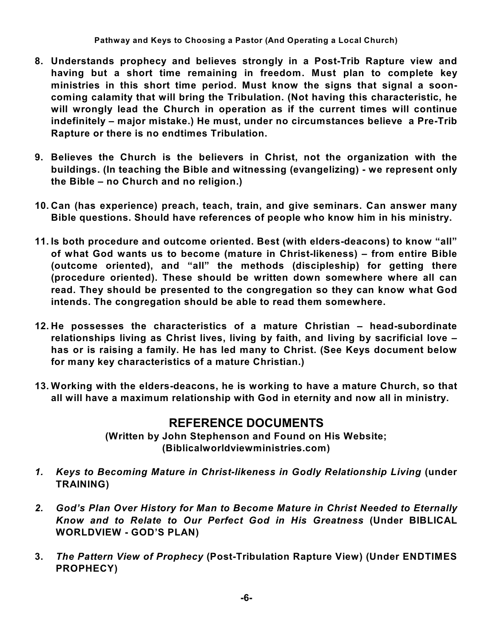- **8. Understands prophecy and believes strongly in a Post-Trib Rapture view and having but a short time remaining in freedom. Must plan to complete key ministries in this short time period. Must know the signs that signal a sooncoming calamity that will bring the Tribulation. (Not having this characteristic, he will wrongly lead the Church in operation as if the current times will continue indefinitely – major mistake.) He must, under no circumstances believe a Pre-Trib Rapture or there is no endtimes Tribulation.**
- **9. Believes the Church is the believers in Christ, not the organization with the buildings. (In teaching the Bible and witnessing (evangelizing) - we represent only the Bible – no Church and no religion.)**
- **10. Can (has experience) preach, teach, train, and give seminars. Can answer many Bible questions. Should have references of people who know him in his ministry.**
- **11. Is both procedure and outcome oriented. Best (with elders-deacons) to know "all" of what God wants us to become (mature in Christ-likeness) – from entire Bible (outcome oriented), and "all" the methods (discipleship) for getting there (procedure oriented). These should be written down somewhere where all can read. They should be presented to the congregation so they can know what God intends. The congregation should be able to read them somewhere.**
- **12. He possesses the characteristics of a mature Christian – head-subordinate relationships living as Christ lives, living by faith, and living by sacrificial love – has or is raising a family. He has led many to Christ. (See Keys document below for many key characteristics of a mature Christian.)**
- **13. Working with the elders-deacons, he is working to have a mature Church, so that all will have a maximum relationship with God in eternity and now all in ministry.**

#### **REFERENCE DOCUMENTS**

**(Written by John Stephenson and Found on His Website; (Biblicalworldviewministries.com)**

- *1. Keys to Becoming Mature in Christ-likeness in Godly Relationship Living* **(under TRAINING)**
- *2. God's Plan Over History for Man to Become Mature in Christ Needed to Eternally Know and to Relate to Our Perfect God in His Greatness* **(Under BIBLICAL WORLDVIEW - GOD'S PLAN)**
- **3.** *The Pattern View of Prophecy* **(Post-Tribulation Rapture View) (Under ENDTIMES PROPHECY)**